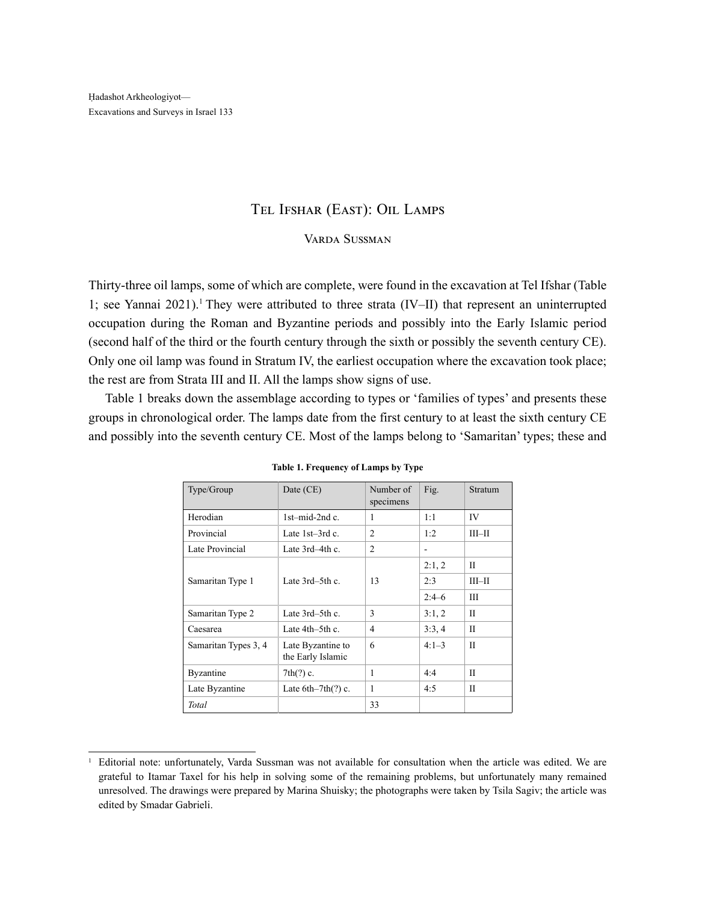## Tel Ifshar (East): Oil Lamps

## Varda Sussman

Thirty-three oil lamps, some of which are complete, were found in the excavation at Tel Ifshar (Table 1; see Yannai 2021).<sup>1</sup> They were attributed to three strata (IV–II) that represent an uninterrupted occupation during the Roman and Byzantine periods and possibly into the Early Islamic period (second half of the third or the fourth century through the sixth or possibly the seventh century CE). Only one oil lamp was found in Stratum IV, the earliest occupation where the excavation took place; the rest are from Strata III and II. All the lamps show signs of use.

Table 1 breaks down the assemblage according to types or 'families of types' and presents these groups in chronological order. The lamps date from the first century to at least the sixth century CE and possibly into the seventh century CE. Most of the lamps belong to 'Samaritan' types; these and

| Type/Group           | Date (CE)                              | Number of<br>specimens | Fig.    | <b>Stratum</b> |
|----------------------|----------------------------------------|------------------------|---------|----------------|
| Herodian             | $1$ st-mid-2nd c.                      | 1                      | 1:1     | IV             |
| Provincial           | Late 1st-3rd c.                        | $\overline{c}$         | 1:2     | $III$ -II      |
| Late Provincial      | Late 3rd-4th c.                        | $\overline{2}$         | ۰       |                |
|                      |                                        |                        | 2:1,2   | П              |
| Samaritan Type 1     | Late 3rd-5th c.                        | 13                     | 2:3     | $III$ -II      |
|                      |                                        |                        | $2:4-6$ | Ш              |
| Samaritan Type 2     | Late 3rd-5th c.                        | 3                      | 3:1,2   | П              |
| Caesarea             | Late $4th-5th$ c.                      | $\overline{4}$         | 3:3,4   | H              |
| Samaritan Types 3, 4 | Late Byzantine to<br>the Early Islamic | 6                      | $4:1-3$ | П              |
| Byzantine            | $7th(?)$ c.                            | 1                      | 4:4     | H              |
| Late Byzantine       | Late $6th-7th(?)$ c.                   | 1                      | 4:5     | П              |
| <b>Total</b>         |                                        | 33                     |         |                |

|  | Table 1. Frequency of Lamps by Type |  |  |  |
|--|-------------------------------------|--|--|--|
|--|-------------------------------------|--|--|--|

<sup>&</sup>lt;sup>1</sup> Editorial note: unfortunately, Varda Sussman was not available for consultation when the article was edited. We are grateful to Itamar Taxel for his help in solving some of the remaining problems, but unfortunately many remained unresolved. The drawings were prepared by Marina Shuisky; the photographs were taken by Tsila Sagiv; the article was edited by Smadar Gabrieli.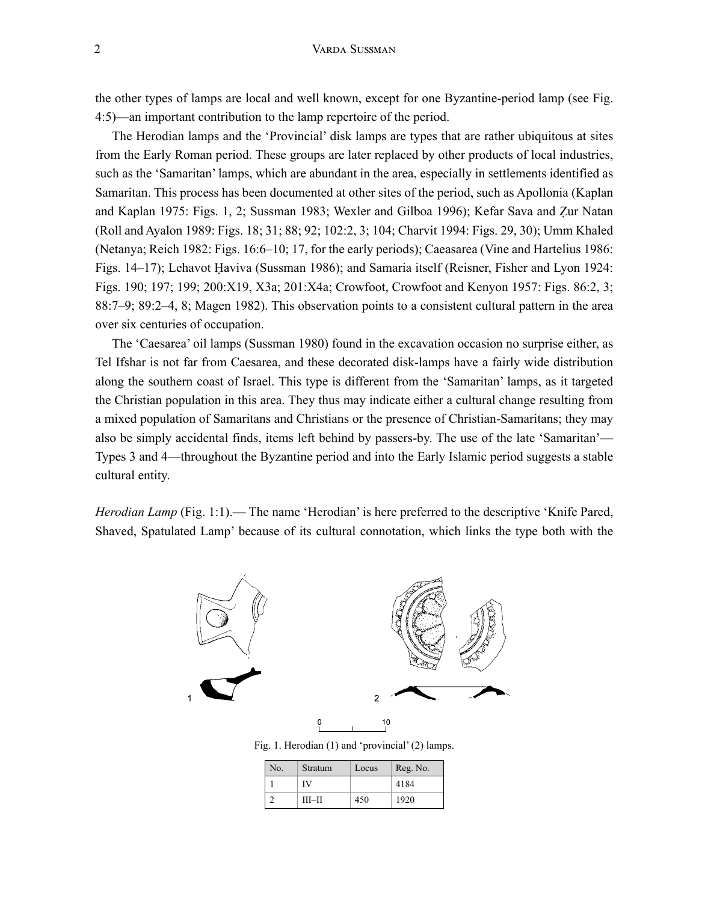the other types of lamps are local and well known, except for one Byzantine-period lamp (see Fig. 4:5)—an important contribution to the lamp repertoire of the period.

The Herodian lamps and the 'Provincial' disk lamps are types that are rather ubiquitous at sites from the Early Roman period. These groups are later replaced by other products of local industries, such as the 'Samaritan' lamps, which are abundant in the area, especially in settlements identified as Samaritan. This process has been documented at other sites of the period, such as Apollonia (Kaplan and Kaplan 1975: Figs. 1, 2; Sussman 1983; Wexler and Gilboa 1996); Kefar Sava and Ẓur Natan (Roll and Ayalon 1989: Figs. 18; 31; 88; 92; 102:2, 3; 104; Charvit 1994: Figs. 29, 30); Umm Khaled (Netanya; Reich 1982: Figs. 16:6–10; 17, for the early periods); Caeasarea (Vine and Hartelius 1986: Figs. 14–17); Lehavot Ḥaviva (Sussman 1986); and Samaria itself (Reisner, Fisher and Lyon 1924: Figs. 190; 197; 199; 200:X19, X3a; 201:X4a; Crowfoot, Crowfoot and Kenyon 1957: Figs. 86:2, 3; 88:7–9; 89:2–4, 8; Magen 1982). This observation points to a consistent cultural pattern in the area over six centuries of occupation.

The 'Caesarea' oil lamps (Sussman 1980) found in the excavation occasion no surprise either, as Tel Ifshar is not far from Caesarea, and these decorated disk-lamps have a fairly wide distribution along the southern coast of Israel. This type is different from the 'Samaritan' lamps, as it targeted the Christian population in this area. They thus may indicate either a cultural change resulting from a mixed population of Samaritans and Christians or the presence of Christian-Samaritans; they may also be simply accidental finds, items left behind by passers-by. The use of the late 'Samaritan'— Types 3 and 4—throughout the Byzantine period and into the Early Islamic period suggests a stable cultural entity.

*Herodian Lamp* (Fig. 1:1).— The name 'Herodian' is here preferred to the descriptive 'Knife Pared, Shaved, Spatulated Lamp' because of its cultural connotation, which links the type both with the



Fig. 1. Herodian (1) and 'provincial' (2) lamps.

| No. | Stratum   | Locus | Reg. No. |
|-----|-----------|-------|----------|
|     | IV        |       | 4184     |
|     | $III$ -II | 450   | 1920     |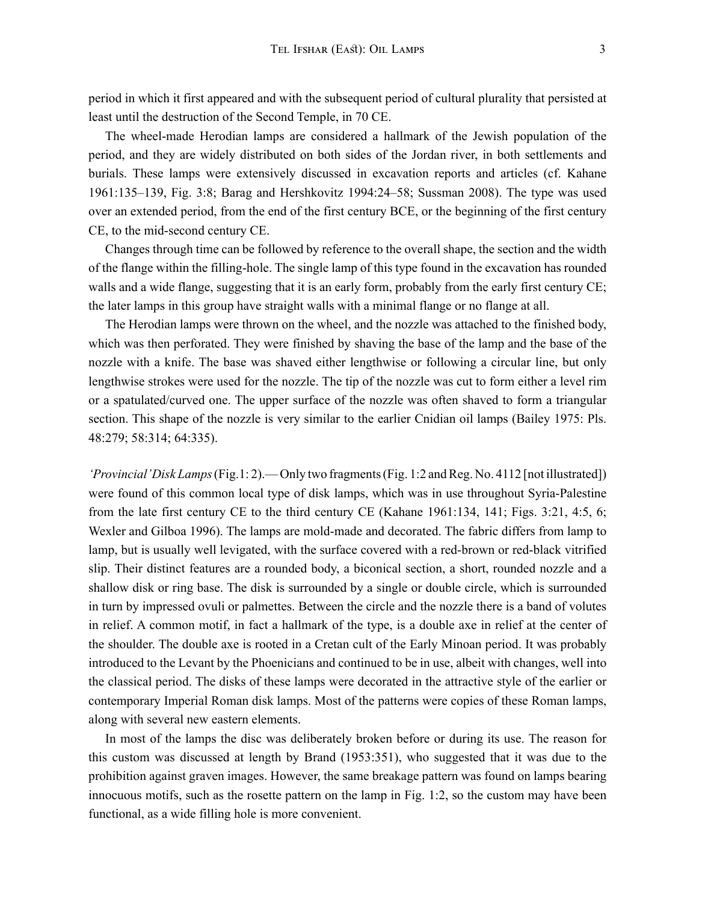period in which it first appeared and with the subsequent period of cultural plurality that persisted at least until the destruction of the Second Temple, in 70 CE.

The wheel-made Herodian lamps are considered a hallmark of the Jewish population of the period, and they are widely distributed on both sides of the Jordan river, in both settlements and burials. These lamps were extensively discussed in excavation reports and articles (cf. Kahane 1961:135–139, Fig. 3:8; Barag and Hershkovitz 1994:24–58; Sussman 2008). The type was used over an extended period, from the end of the first century BCE, or the beginning of the first century CE, to the mid-second century CE.

Changes through time can be followed by reference to the overall shape, the section and the width of the flange within the filling-hole. The single lamp of this type found in the excavation has rounded walls and a wide flange, suggesting that it is an early form, probably from the early first century CE; the later lamps in this group have straight walls with a minimal flange or no flange at all.

The Herodian lamps were thrown on the wheel, and the nozzle was attached to the finished body, which was then perforated. They were finished by shaving the base of the lamp and the base of the nozzle with a knife. The base was shaved either lengthwise or following a circular line, but only lengthwise strokes were used for the nozzle. The tip of the nozzle was cut to form either a level rim or a spatulated/curved one. The upper surface of the nozzle was often shaved to form a triangular section. This shape of the nozzle is very similar to the earlier Cnidian oil lamps (Bailey 1975: Pls. 48:279; 58:314; 64:335).

*'Provincial' Disk Lamps* (Fig.1: 2).— Only two fragments (Fig. 1:2 and Reg. No. 4112 [not illustrated]) were found of this common local type of disk lamps, which was in use throughout Syria-Palestine from the late first century CE to the third century CE (Kahane 1961:134, 141; Figs. 3:21, 4:5, 6; Wexler and Gilboa 1996). The lamps are mold-made and decorated. The fabric differs from lamp to lamp, but is usually well levigated, with the surface covered with a red-brown or red-black vitrified slip. Their distinct features are a rounded body, a biconical section, a short, rounded nozzle and a shallow disk or ring base. The disk is surrounded by a single or double circle, which is surrounded in turn by impressed ovuli or palmettes. Between the circle and the nozzle there is a band of volutes in relief. A common motif, in fact a hallmark of the type, is a double axe in relief at the center of the shoulder. The double axe is rooted in a Cretan cult of the Early Minoan period. It was probably introduced to the Levant by the Phoenicians and continued to be in use, albeit with changes, well into the classical period. The disks of these lamps were decorated in the attractive style of the earlier or contemporary Imperial Roman disk lamps. Most of the patterns were copies of these Roman lamps, along with several new eastern elements.

In most of the lamps the disc was deliberately broken before or during its use. The reason for this custom was discussed at length by Brand (1953:351), who suggested that it was due to the prohibition against graven images. However, the same breakage pattern was found on lamps bearing innocuous motifs, such as the rosette pattern on the lamp in Fig. 1:2, so the custom may have been functional, as a wide filling hole is more convenient.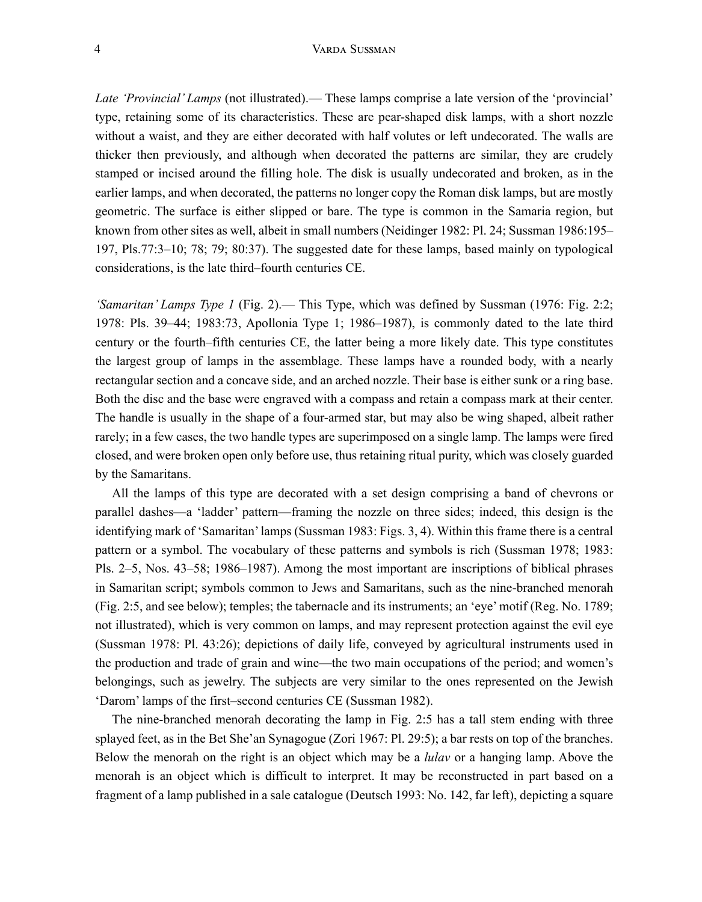*Late 'Provincial' Lamps* (not illustrated).— These lamps comprise a late version of the 'provincial' type, retaining some of its characteristics. These are pear-shaped disk lamps, with a short nozzle without a waist, and they are either decorated with half volutes or left undecorated. The walls are thicker then previously, and although when decorated the patterns are similar, they are crudely stamped or incised around the filling hole. The disk is usually undecorated and broken, as in the earlier lamps, and when decorated, the patterns no longer copy the Roman disk lamps, but are mostly geometric. The surface is either slipped or bare. The type is common in the Samaria region, but known from other sites as well, albeit in small numbers (Neidinger 1982: Pl. 24; Sussman 1986:195– 197, Pls.77:3–10; 78; 79; 80:37). The suggested date for these lamps, based mainly on typological considerations, is the late third–fourth centuries CE.

*'Samaritan' Lamps Type 1* (Fig. 2).— This Type, which was defined by Sussman (1976: Fig. 2:2; 1978: Pls. 39–44; 1983:73, Apollonia Type 1; 1986–1987), is commonly dated to the late third century or the fourth–fifth centuries CE, the latter being a more likely date. This type constitutes the largest group of lamps in the assemblage. These lamps have a rounded body, with a nearly rectangular section and a concave side, and an arched nozzle. Their base is either sunk or a ring base. Both the disc and the base were engraved with a compass and retain a compass mark at their center. The handle is usually in the shape of a four-armed star, but may also be wing shaped, albeit rather rarely; in a few cases, the two handle types are superimposed on a single lamp. The lamps were fired closed, and were broken open only before use, thus retaining ritual purity, which was closely guarded by the Samaritans.

All the lamps of this type are decorated with a set design comprising a band of chevrons or parallel dashes—a 'ladder' pattern—framing the nozzle on three sides; indeed, this design is the identifying mark of 'Samaritan' lamps (Sussman 1983: Figs. 3, 4). Within this frame there is a central pattern or a symbol. The vocabulary of these patterns and symbols is rich (Sussman 1978; 1983: Pls. 2–5, Nos. 43–58; 1986–1987). Among the most important are inscriptions of biblical phrases in Samaritan script; symbols common to Jews and Samaritans, such as the nine-branched menorah (Fig. 2:5, and see below); temples; the tabernacle and its instruments; an 'eye' motif (Reg. No. 1789; not illustrated), which is very common on lamps, and may represent protection against the evil eye (Sussman 1978: Pl. 43:26); depictions of daily life, conveyed by agricultural instruments used in the production and trade of grain and wine—the two main occupations of the period; and women's belongings, such as jewelry. The subjects are very similar to the ones represented on the Jewish 'Darom' lamps of the first–second centuries CE (Sussman 1982).

The nine-branched menorah decorating the lamp in Fig. 2:5 has a tall stem ending with three splayed feet, as in the Bet She'an Synagogue (Zori 1967: Pl. 29:5); a bar rests on top of the branches. Below the menorah on the right is an object which may be a *lulav* or a hanging lamp. Above the menorah is an object which is difficult to interpret. It may be reconstructed in part based on a fragment of a lamp published in a sale catalogue (Deutsch 1993: No. 142, far left), depicting a square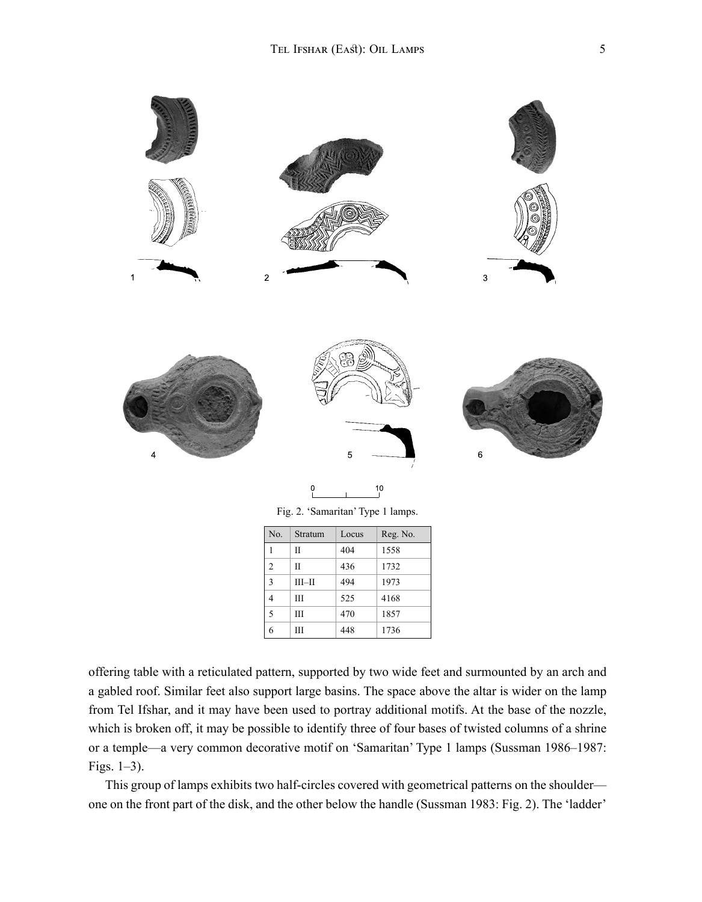

 $\frac{10}{10}$ 

Fig. 2. 'Samaritan' Type 1 lamps.

| No.            | Stratum   | Locus | Reg. No. |
|----------------|-----------|-------|----------|
| 1              | Н         | 404   | 1558     |
| $\overline{2}$ | H         | 436   | 1732     |
| 3              | $III$ -II | 494   | 1973     |
| $\overline{4}$ | Ш         | 525   | 4168     |
| 5              | IΙI       | 470   | 1857     |
| 6              | Ш         | 448   | 1736     |

offering table with a reticulated pattern, supported by two wide feet and surmounted by an arch and a gabled roof. Similar feet also support large basins. The space above the altar is wider on the lamp from Tel Ifshar, and it may have been used to portray additional motifs. At the base of the nozzle, which is broken off, it may be possible to identify three of four bases of twisted columns of a shrine or a temple—a very common decorative motif on 'Samaritan' Type 1 lamps (Sussman 1986–1987: Figs. 1–3).

This group of lamps exhibits two half-circles covered with geometrical patterns on the shoulder one on the front part of the disk, and the other below the handle (Sussman 1983: Fig. 2). The 'ladder'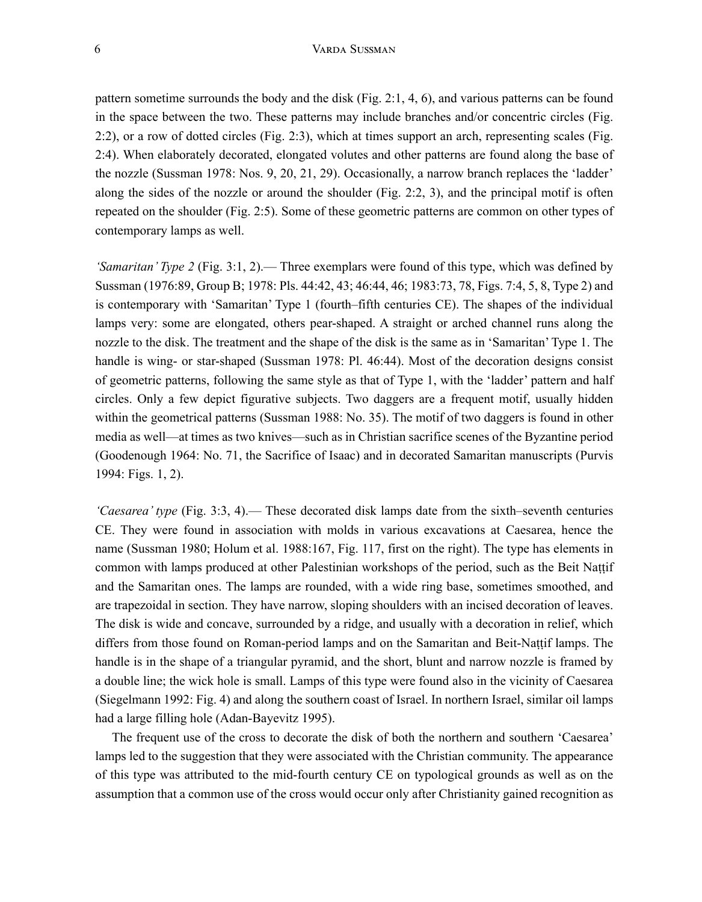pattern sometime surrounds the body and the disk (Fig. 2:1, 4, 6), and various patterns can be found in the space between the two. These patterns may include branches and/or concentric circles (Fig. 2:2), or a row of dotted circles (Fig. 2:3), which at times support an arch, representing scales (Fig. 2:4). When elaborately decorated, elongated volutes and other patterns are found along the base of the nozzle (Sussman 1978: Nos. 9, 20, 21, 29). Occasionally, a narrow branch replaces the 'ladder' along the sides of the nozzle or around the shoulder (Fig. 2:2, 3), and the principal motif is often repeated on the shoulder (Fig. 2:5). Some of these geometric patterns are common on other types of contemporary lamps as well.

*'Samaritan' Type 2* (Fig. 3:1, 2).— Three exemplars were found of this type, which was defined by Sussman (1976:89, Group B; 1978: Pls. 44:42, 43; 46:44, 46; 1983:73, 78, Figs. 7:4, 5, 8, Type 2) and is contemporary with 'Samaritan' Type 1 (fourth–fifth centuries CE). The shapes of the individual lamps very: some are elongated, others pear-shaped. A straight or arched channel runs along the nozzle to the disk. The treatment and the shape of the disk is the same as in 'Samaritan' Type 1. The handle is wing- or star-shaped (Sussman 1978: Pl. 46:44). Most of the decoration designs consist of geometric patterns, following the same style as that of Type 1, with the 'ladder' pattern and half circles. Only a few depict figurative subjects. Two daggers are a frequent motif, usually hidden within the geometrical patterns (Sussman 1988: No. 35). The motif of two daggers is found in other media as well—at times as two knives—such as in Christian sacrifice scenes of the Byzantine period (Goodenough 1964: No. 71, the Sacrifice of Isaac) and in decorated Samaritan manuscripts (Purvis 1994: Figs. 1, 2).

*'Caesarea' type* (Fig. 3:3, 4).— These decorated disk lamps date from the sixth–seventh centuries CE. They were found in association with molds in various excavations at Caesarea, hence the name (Sussman 1980; Holum et al. 1988:167, Fig. 117, first on the right). The type has elements in common with lamps produced at other Palestinian workshops of the period, such as the Beit Naṭṭif and the Samaritan ones. The lamps are rounded, with a wide ring base, sometimes smoothed, and are trapezoidal in section. They have narrow, sloping shoulders with an incised decoration of leaves. The disk is wide and concave, surrounded by a ridge, and usually with a decoration in relief, which differs from those found on Roman-period lamps and on the Samaritan and Beit-Naṭṭif lamps. The handle is in the shape of a triangular pyramid, and the short, blunt and narrow nozzle is framed by a double line; the wick hole is small. Lamps of this type were found also in the vicinity of Caesarea (Siegelmann 1992: Fig. 4) and along the southern coast of Israel. In northern Israel, similar oil lamps had a large filling hole (Adan-Bayevitz 1995).

The frequent use of the cross to decorate the disk of both the northern and southern 'Caesarea' lamps led to the suggestion that they were associated with the Christian community. The appearance of this type was attributed to the mid-fourth century CE on typological grounds as well as on the assumption that a common use of the cross would occur only after Christianity gained recognition as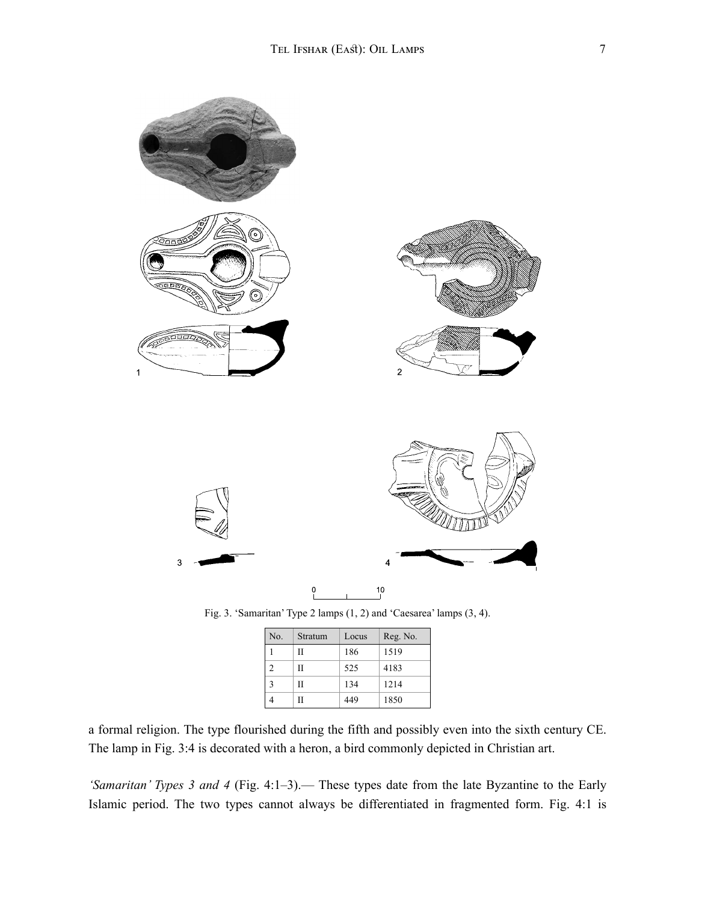

| No. | Stratum | Locus | Reg. No. |
|-----|---------|-------|----------|
|     | Н       | 186   | 1519     |
|     | Н       | 525   | 4183     |
|     | Н       | 134   | 1214     |
|     | Н       | 449   | 1850     |

a formal religion. The type flourished during the fifth and possibly even into the sixth century CE. The lamp in Fig. 3:4 is decorated with a heron, a bird commonly depicted in Christian art.

*'Samaritan' Types 3 and 4* (Fig. 4:1–3).— These types date from the late Byzantine to the Early Islamic period. The two types cannot always be differentiated in fragmented form. Fig. 4:1 is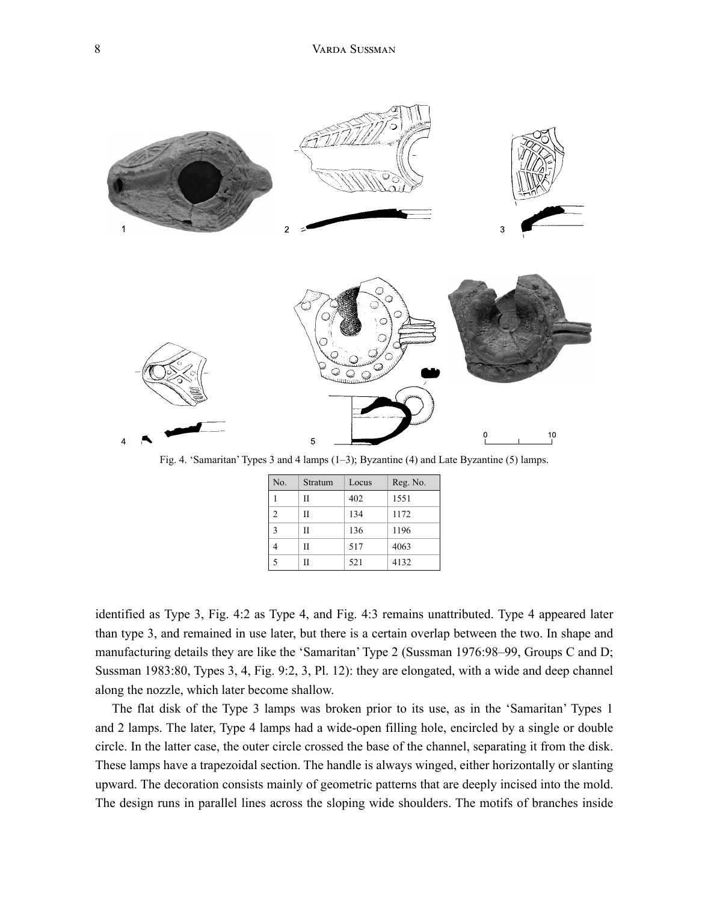

Fig. 4. 'Samaritan' Types 3 and 4 lamps (1–3); Byzantine (4) and Late Byzantine (5) lamps.

| No.            | Stratum | Locus | Reg. No. |
|----------------|---------|-------|----------|
|                | П       | 402   | 1551     |
| $\overline{2}$ | П       | 134   | 1172     |
| 3              | П       | 136   | 1196     |
|                | П       | 517   | 4063     |
| 5              | П       | 521   | 4132     |

identified as Type 3, Fig. 4:2 as Type 4, and Fig. 4:3 remains unattributed. Type 4 appeared later than type 3, and remained in use later, but there is a certain overlap between the two. In shape and manufacturing details they are like the 'Samaritan' Type 2 (Sussman 1976:98–99, Groups C and D; Sussman 1983:80, Types 3, 4, Fig. 9:2, 3, Pl. 12): they are elongated, with a wide and deep channel along the nozzle, which later become shallow.

The flat disk of the Type 3 lamps was broken prior to its use, as in the 'Samaritan' Types 1 and 2 lamps. The later, Type 4 lamps had a wide-open filling hole, encircled by a single or double circle. In the latter case, the outer circle crossed the base of the channel, separating it from the disk. These lamps have a trapezoidal section. The handle is always winged, either horizontally or slanting upward. The decoration consists mainly of geometric patterns that are deeply incised into the mold. The design runs in parallel lines across the sloping wide shoulders. The motifs of branches inside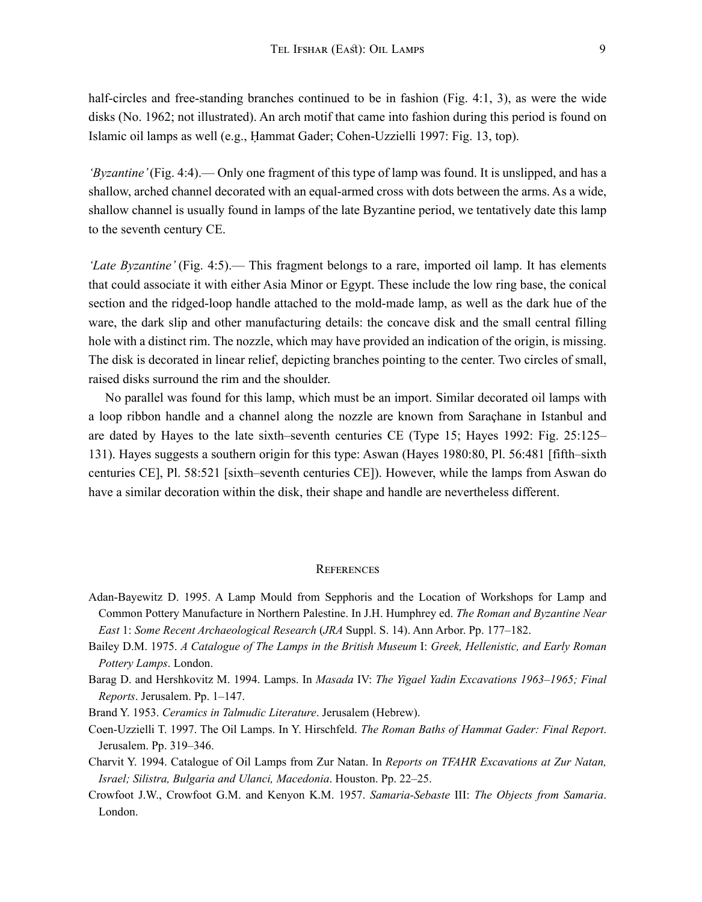half-circles and free-standing branches continued to be in fashion (Fig. 4:1, 3), as were the wide disks (No. 1962; not illustrated). An arch motif that came into fashion during this period is found on Islamic oil lamps as well (e.g., Ḥammat Gader; Cohen-Uzzielli 1997: Fig. 13, top).

*'Byzantine'* (Fig. 4:4).— Only one fragment of this type of lamp was found. It is unslipped, and has a shallow, arched channel decorated with an equal-armed cross with dots between the arms. As a wide, shallow channel is usually found in lamps of the late Byzantine period, we tentatively date this lamp to the seventh century CE.

*'Late Byzantine'* (Fig. 4:5).— This fragment belongs to a rare, imported oil lamp. It has elements that could associate it with either Asia Minor or Egypt. These include the low ring base, the conical section and the ridged-loop handle attached to the mold-made lamp, as well as the dark hue of the ware, the dark slip and other manufacturing details: the concave disk and the small central filling hole with a distinct rim. The nozzle, which may have provided an indication of the origin, is missing. The disk is decorated in linear relief, depicting branches pointing to the center. Two circles of small, raised disks surround the rim and the shoulder.

No parallel was found for this lamp, which must be an import. Similar decorated oil lamps with a loop ribbon handle and a channel along the nozzle are known from Saraçhane in Istanbul and are dated by Hayes to the late sixth–seventh centuries CE (Type 15; Hayes 1992: Fig. 25:125– 131). Hayes suggests a southern origin for this type: Aswan (Hayes 1980:80, Pl. 56:481 [fifth–sixth centuries CE], Pl. 58:521 [sixth–seventh centuries CE]). However, while the lamps from Aswan do have a similar decoration within the disk, their shape and handle are nevertheless different.

## **REFERENCES**

- Adan-Bayewitz D. 1995. A Lamp Mould from Sepphoris and the Location of Workshops for Lamp and Common Pottery Manufacture in Northern Palestine. In J.H. Humphrey ed. *The Roman and Byzantine Near East* 1: *Some Recent Archaeological Research* (*JRA* Suppl. S. 14). Ann Arbor. Pp. 177–182.
- Bailey D.M. 1975. *A Catalogue of The Lamps in the British Museum* I: *Greek, Hellenistic, and Early Roman Pottery Lamps*. London.
- Barag D. and Hershkovitz M. 1994. Lamps. In *Masada* IV: *The Yigael Yadin Excavations 1963–1965; Final Reports*. Jerusalem. Pp. 1–147.
- Brand Y. 1953. *Ceramics in Talmudic Literature*. Jerusalem (Hebrew).
- Coen-Uzzielli T. 1997. The Oil Lamps. In Y. Hirschfeld. *The Roman Baths of Hammat Gader: Final Report*. Jerusalem. Pp. 319–346.
- Charvit Y. 1994. Catalogue of Oil Lamps from Zur Natan. In *Reports on TFAHR Excavations at Zur Natan, Israel; Silistra, Bulgaria and Ulanci, Macedonia*. Houston. Pp. 22–25.
- Crowfoot J.W., Crowfoot G.M. and Kenyon K.M. 1957. *Samaria-Sebaste* III: *The Objects from Samaria*. London.